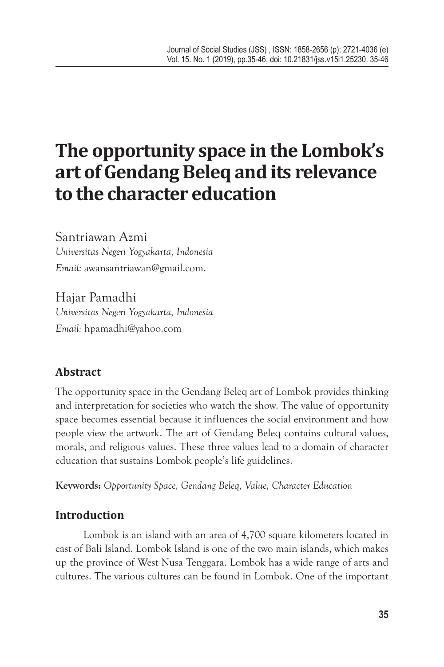# **The opportunity space in the Lombok's art of Gendang Beleq and its relevance to the character education**

Santriawan Azmi *Universitas Negeri Yogyakarta, Indonesia Email:* awansantriawan@gmail.com.

Hajar Pamadhi *Universitas Negeri Yogyakarta, Indonesia Email:* hpamadhi@yahoo.com

# **Abstract**

The opportunity space in the Gendang Beleq art of Lombok provides thinking and interpretation for societies who watch the show. The value of opportunity space becomes essential because it influences the social environment and how people view the artwork. The art of Gendang Beleq contains cultural values, morals, and religious values. These three values lead to a domain of character education that sustains Lombok people's life guidelines.

**Keywords:** *Opportunity Space, Gendang Beleq, Value, Character Education*

# **Introduction**

Lombok is an island with an area of 4,700 square kilometers located in east of Bali Island. Lombok Island is one of the two main islands, which makes up the province of West Nusa Tenggara. Lombok has a wide range of arts and cultures. The various cultures can be found in Lombok. One of the important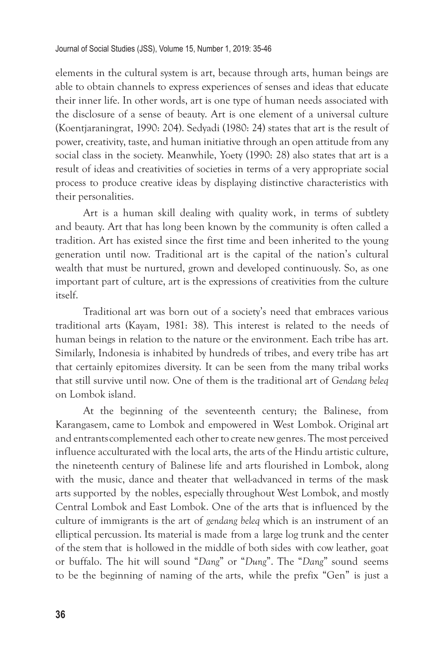elements in the cultural system is art, because through arts, human beings are able to obtain channels to express experiences of senses and ideas that educate their inner life. In other words, art is one type of human needs associated with the disclosure of a sense of beauty. Art is one element of a universal culture (Koentjaraningrat, 1990: 204). Sedyadi (1980: 24) states that art is the result of power, creativity, taste, and human initiative through an open attitude from any social class in the society. Meanwhile, Yoety (1990: 28) also states that art is a result of ideas and creativities of societies in terms of a very appropriate social process to produce creative ideas by displaying distinctive characteristics with their personalities.

Art is a human skill dealing with quality work, in terms of subtlety and beauty. Art that has long been known by the community is often called a tradition. Art has existed since the first time and been inherited to the young generation until now. Traditional art is the capital of the nation's cultural wealth that must be nurtured, grown and developed continuously. So, as one important part of culture, art is the expressions of creativities from the culture itself.

Traditional art was born out of a society's need that embraces various traditional arts (Kayam, 1981: 38). This interest is related to the needs of human beings in relation to the nature or the environment. Each tribe has art. Similarly, Indonesia is inhabited by hundreds of tribes, and every tribe has art that certainly epitomizes diversity. It can be seen from the many tribal works that still survive until now. One of them is the traditional art of *Gendang beleq*  on Lombok island.

At the beginning of the seventeenth century; the Balinese, from Karangasem, came to Lombok and empowered in West Lombok. Original art and entrants complemented each other to create new genres. The most perceived influence acculturated with the local arts, the arts of the Hindu artistic culture, the nineteenth century of Balinese life and arts flourished in Lombok, along with the music, dance and theater that well-advanced in terms of the mask arts supported by the nobles, especially throughout West Lombok, and mostly Central Lombok and East Lombok. One of the arts that is influenced by the culture of immigrants is the art of *gendang beleq* which is an instrument of an elliptical percussion. Its material is made from a large log trunk and the center of the stem that is hollowed in the middle of both sides with cow leather, goat or buffalo. The hit will sound "*Dang*" or "*Dung*". The "*Dang*" sound seems to be the beginning of naming of the arts, while the prefix "Gen" is just a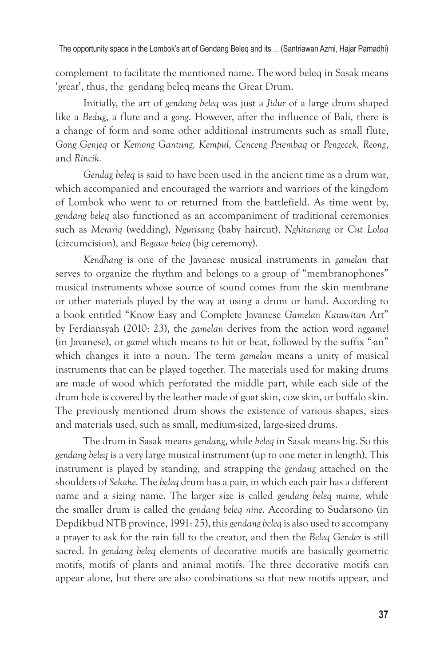complement to facilitate the mentioned name. The word beleq in Sasak means 'great', thus, the gendang beleq means the Great Drum.

Initially, the art of *gendang beleq* was just a *Jidur* of a large drum shaped like a *Bedug*, a flute and a *gong*. However, after the influence of Bali, there is a change of form and some other additional instruments such as small flute, *Gong Genjeq* or *Kemong Gantung, Kempul, Cenceng Perembaq* or *Pengecek, Reong*, and *Rincik.*

*Gendag beleq* is said to have been used in the ancient time as a drum war, which accompanied and encouraged the warriors and warriors of the kingdom of Lombok who went to or returned from the battlefield. As time went by, *gendang beleq* also functioned as an accompaniment of traditional ceremonies such as *Merariq* (wedding), *Ngurisang* (baby haircut), *Nghitanang* or *Cut Loloq*  (circumcision), and *Begawe beleq* (big ceremony).

*Kendhang* is one of the Javanese musical instruments in *gamelan* that serves to organize the rhythm and belongs to a group of "membranophones" musical instruments whose source of sound comes from the skin membrane or other materials played by the way at using a drum or hand. According to a book entitled "Know Easy and Complete Javanese *Gamelan Karawitan* Art" by Ferdiansyah (2010: 23), the *gamelan* derives from the action word *nggamel*  (in Javanese), or *gamel* which means to hit or beat, followed by the suffix "-an" which changes it into a noun. The term *gamelan* means a unity of musical instruments that can be played together. The materials used for making drums are made of wood which perforated the middle part, while each side of the drum hole is covered by the leather made of goat skin, cow skin, or buffalo skin. The previously mentioned drum shows the existence of various shapes, sizes and materials used, such as small, medium-sized, large-sized drums.

The drum in Sasak means *gendang*, while *beleq* in Sasak means big. So this *gendang beleq* is a very large musical instrument (up to one meter in length). This instrument is played by standing, and strapping the *gendang* attached on the shoulders of *Sekahe.* The *beleq* drum has a pair, in which each pair has a different name and a sizing name. The larger size is called *gendang beleq mame,* while the smaller drum is called the *gendang beleq nine*. According to Sudarsono (in Depdikbud NTB province, 1991: 25), this *gendang beleq* is also used to accompany a prayer to ask for the rain fall to the creator, and then the *Beleq Gender* is still sacred. In *gendang beleq* elements of decorative motifs are basically geometric motifs, motifs of plants and animal motifs. The three decorative motifs can appear alone, but there are also combinations so that new motifs appear, and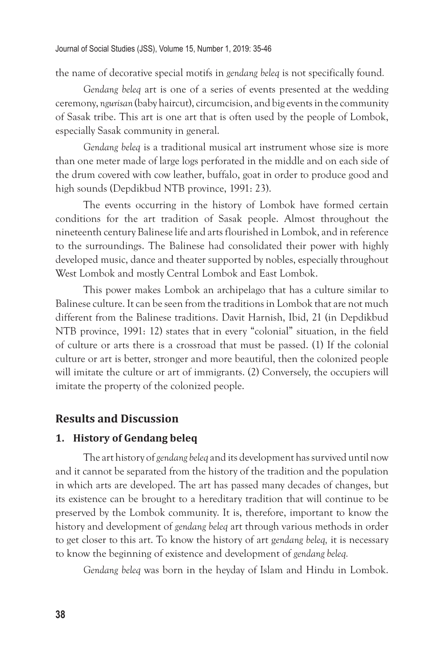the name of decorative special motifs in *gendang beleq* is not specifically found*.*

*Gendang beleq* art is one of a series of events presented at the wedding ceremony, *ngurisan* (baby haircut), circumcision, and big events in the community of Sasak tribe. This art is one art that is often used by the people of Lombok, especially Sasak community in general.

*Gendang beleq* is a traditional musical art instrument whose size is more than one meter made of large logs perforated in the middle and on each side of the drum covered with cow leather, buffalo, goat in order to produce good and high sounds (Depdikbud NTB province, 1991: 23).

The events occurring in the history of Lombok have formed certain conditions for the art tradition of Sasak people. Almost throughout the nineteenth century Balinese life and arts flourished in Lombok, and in reference to the surroundings. The Balinese had consolidated their power with highly developed music, dance and theater supported by nobles, especially throughout West Lombok and mostly Central Lombok and East Lombok.

This power makes Lombok an archipelago that has a culture similar to Balinese culture. It can be seen from the traditions in Lombok that are not much different from the Balinese traditions. Davit Harnish, Ibid, 21 (in Depdikbud NTB province, 1991: 12) states that in every "colonial" situation, in the field of culture or arts there is a crossroad that must be passed. (1) If the colonial culture or art is better, stronger and more beautiful, then the colonized people will imitate the culture or art of immigrants. (2) Conversely, the occupiers will imitate the property of the colonized people.

#### **Results and Discussion**

#### **1. History of Gendang beleq**

The art history of *gendang beleq* and its development has survived until now and it cannot be separated from the history of the tradition and the population in which arts are developed. The art has passed many decades of changes, but its existence can be brought to a hereditary tradition that will continue to be preserved by the Lombok community. It is, therefore, important to know the history and development of *gendang beleq* art through various methods in order to get closer to this art. To know the history of art g*endang beleq,* it is necessary to know the beginning of existence and development of *gendang beleq.*

*Gendang beleq* was born in the heyday of Islam and Hindu in Lombok.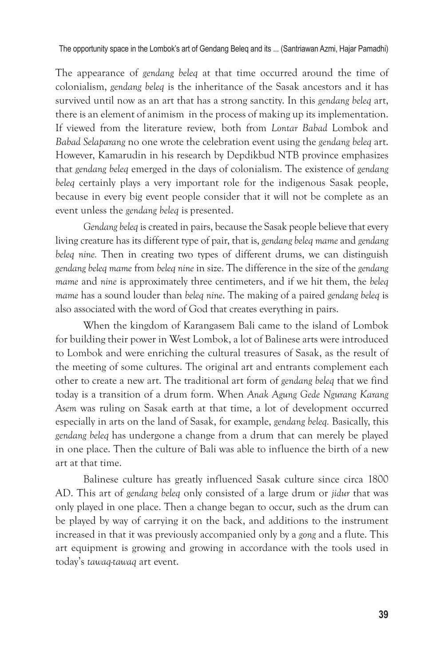The appearance of *gendang beleq* at that time occurred around the time of colonialism, *gendang beleq* is the inheritance of the Sasak ancestors and it has survived until now as an art that has a strong sanctity. In this *gendang beleq* art, there is an element of animism in the process of making up its implementation. If viewed from the literature review, both from *Lontar Babad* Lombok and *Babad Selaparang* no one wrote the celebration event using the *gendang beleq* art. However, Kamarudin in his research by Depdikbud NTB province emphasizes that *gendang beleq* emerged in the days of colonialism. The existence of *gendang beleq* certainly plays a very important role for the indigenous Sasak people, because in every big event people consider that it will not be complete as an event unless the *gendang beleq* is presented.

*Gendang beleq* is created in pairs, because the Sasak people believe that every living creature has its different type of pair, that is, *gendang beleq mame* and *gendang beleq nine.* Then in creating two types of different drums, we can distinguish *gendang beleq mame* from *beleq nine* in size. The difference in the size of the *gendang mame* and *nine* is approximately three centimeters, and if we hit them, the *beleq mame* has a sound louder than *beleq nine*. The making of a paired *gendang beleq* is also associated with the word of God that creates everything in pairs.

When the kingdom of Karangasem Bali came to the island of Lombok for building their power in West Lombok, a lot of Balinese arts were introduced to Lombok and were enriching the cultural treasures of Sasak, as the result of the meeting of some cultures. The original art and entrants complement each other to create a new art. The traditional art form of *gendang beleq* that we find today is a transition of a drum form. When *Anak Agung Gede Ngurang Karang Asem* was ruling on Sasak earth at that time, a lot of development occurred especially in arts on the land of Sasak, for example, *gendang beleq.* Basically, this *gendang beleq* has undergone a change from a drum that can merely be played in one place. Then the culture of Bali was able to influence the birth of a new art at that time.

Balinese culture has greatly influenced Sasak culture since circa 1800 AD. This art of *gendang beleq* only consisted of a large drum or *jidur* that was only played in one place. Then a change began to occur, such as the drum can be played by way of carrying it on the back, and additions to the instrument increased in that it was previously accompanied only by a *gong* and a flute. This art equipment is growing and growing in accordance with the tools used in today's *tawaq-tawaq* art event.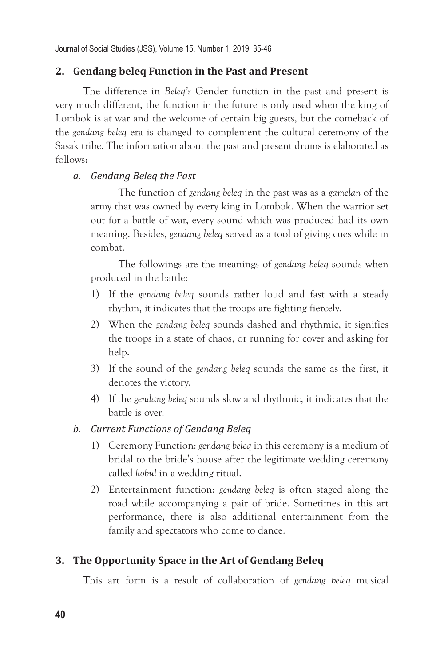Journal of Social Studies (JSS), Volume 15, Number 1, 2019: 35-46

## **2. Gendang beleq Function in the Past and Present**

The difference in *Beleq's* Gender function in the past and present is very much different, the function in the future is only used when the king of Lombok is at war and the welcome of certain big guests, but the comeback of the *gendang beleq* era is changed to complement the cultural ceremony of the Sasak tribe. The information about the past and present drums is elaborated as follows:

#### *a. Gendang Beleq the Past*

The function of *gendang beleq* in the past was as a *gamelan* of the army that was owned by every king in Lombok. When the warrior set out for a battle of war, every sound which was produced had its own meaning. Besides, *gendang beleq* served as a tool of giving cues while in combat.

The followings are the meanings of *gendang beleq* sounds when produced in the battle:

- 1) If the *gendang beleq* sounds rather loud and fast with a steady rhythm, it indicates that the troops are fighting fiercely.
- 2) When the *gendang beleq* sounds dashed and rhythmic, it signifies the troops in a state of chaos, or running for cover and asking for help.
- 3) If the sound of the *gendang beleq* sounds the same as the first, it denotes the victory.
- 4) If the *gendang beleq* sounds slow and rhythmic, it indicates that the battle is over.

#### *b. Current Functions of Gendang Beleq*

- 1) Ceremony Function: *gendang beleq* in this ceremony is a medium of bridal to the bride's house after the legitimate wedding ceremony called *kobul* in a wedding ritual.
- 2) Entertainment function: *gendang beleq* is often staged along the road while accompanying a pair of bride. Sometimes in this art performance, there is also additional entertainment from the family and spectators who come to dance.

## **3. The Opportunity Space in the Art of Gendang Beleq**

This art form is a result of collaboration of *gendang beleq* musical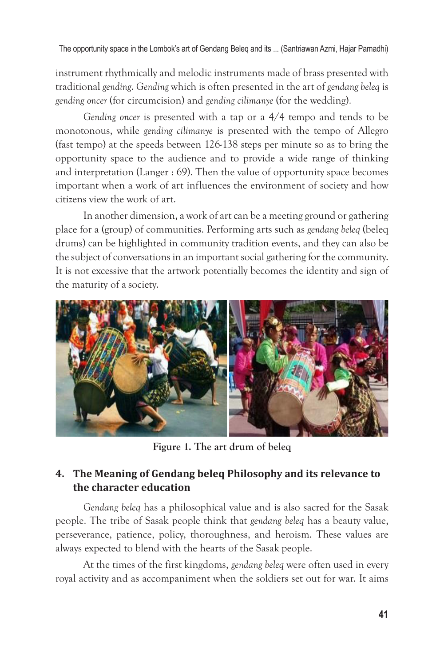instrument rhythmically and melodic instruments made of brass presented with traditional *gending*. *Gending* which is often presented in the art of *gendang beleq* is *gending oncer* (for circumcision) and *gending cilimanye* (for the wedding).

*Gending oncer* is presented with a tap or a 4/4 tempo and tends to be monotonous, while *gending cilimanye* is presented with the tempo of Allegro (fast tempo) at the speeds between 126-138 steps per minute so as to bring the opportunity space to the audience and to provide a wide range of thinking and interpretation (Langer : 69). Then the value of opportunity space becomes important when a work of art influences the environment of society and how citizens view the work of art.

In another dimension, a work of art can be a meeting ground or gathering place for a (group) of communities. Performing arts such as *gendang beleq* (beleq drums) can be highlighted in community tradition events, and they can also be the subject of conversations in an important social gathering for the community. It is not excessive that the artwork potentially becomes the identity and sign of the maturity of a society.



**Figure 1. The art drum of beleq**

# **4. The Meaning of Gendang beleq Philosophy and its relevance to the character education**

*Gendang beleq* has a philosophical value and is also sacred for the Sasak people. The tribe of Sasak people think that *gendang beleq* has a beauty value, perseverance, patience, policy, thoroughness, and heroism. These values are always expected to blend with the hearts of the Sasak people.

At the times of the first kingdoms, *gendang beleq* were often used in every royal activity and as accompaniment when the soldiers set out for war. It aims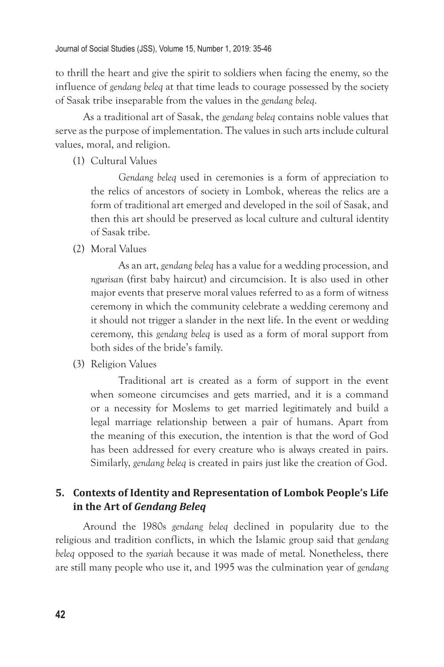to thrill the heart and give the spirit to soldiers when facing the enemy, so the influence of *gendang beleq* at that time leads to courage possessed by the society of Sasak tribe inseparable from the values in the *gendang beleq*.

As a traditional art of Sasak, the *gendang beleq* contains noble values that serve as the purpose of implementation. The values in such arts include cultural values, moral, and religion.

(1) Cultural Values

*Gendang beleq* used in ceremonies is a form of appreciation to the relics of ancestors of society in Lombok, whereas the relics are a form of traditional art emerged and developed in the soil of Sasak, and then this art should be preserved as local culture and cultural identity of Sasak tribe.

(2) Moral Values

As an art, *gendang beleq* has a value for a wedding procession, and *ngurisan* (first baby haircut) and circumcision. It is also used in other major events that preserve moral values referred to as a form of witness ceremony in which the community celebrate a wedding ceremony and it should not trigger a slander in the next life. In the event or wedding ceremony, this *gendang beleq* is used as a form of moral support from both sides of the bride's family.

(3) Religion Values

Traditional art is created as a form of support in the event when someone circumcises and gets married, and it is a command or a necessity for Moslems to get married legitimately and build a legal marriage relationship between a pair of humans. Apart from the meaning of this execution, the intention is that the word of God has been addressed for every creature who is always created in pairs. Similarly, *gendang beleq* is created in pairs just like the creation of God.

## **5. Contexts of Identity and Representation of Lombok People's Life in the Art of** *Gendang Beleq*

Around the 1980s *gendang beleq* declined in popularity due to the religious and tradition conflicts, in which the Islamic group said that *gendang beleq* opposed to the *syariah* because it was made of metal. Nonetheless, there are still many people who use it, and 1995 was the culmination year of *gendang*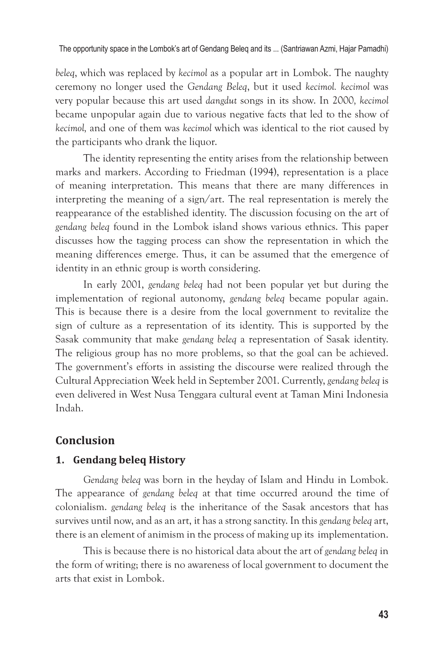*beleq*, which was replaced by *kecimol* as a popular art in Lombok. The naughty ceremony no longer used the *Gendang Beleq*, but it used *kecimol. kecimol* was very popular because this art used *dangdut* songs in its show. In 2000*, kecimol*  became unpopular again due to various negative facts that led to the show of *kecimol,* and one of them was *kecimol* which was identical to the riot caused by the participants who drank the liquor.

The identity representing the entity arises from the relationship between marks and markers. According to Friedman (1994), representation is a place of meaning interpretation. This means that there are many differences in interpreting the meaning of a sign/art. The real representation is merely the reappearance of the established identity. The discussion focusing on the art of *gendang beleq* found in the Lombok island shows various ethnics. This paper discusses how the tagging process can show the representation in which the meaning differences emerge. Thus, it can be assumed that the emergence of identity in an ethnic group is worth considering.

In early 2001, *gendang beleq* had not been popular yet but during the implementation of regional autonomy, *gendang beleq* became popular again. This is because there is a desire from the local government to revitalize the sign of culture as a representation of its identity. This is supported by the Sasak community that make *gendang beleq* a representation of Sasak identity. The religious group has no more problems, so that the goal can be achieved. The government's efforts in assisting the discourse were realized through the Cultural Appreciation Week held in September 2001. Currently, *gendang beleq* is even delivered in West Nusa Tenggara cultural event at Taman Mini Indonesia Indah.

# **Conclusion**

## **1. Gendang beleq History**

*Gendang beleq* was born in the heyday of Islam and Hindu in Lombok. The appearance of *gendang beleq* at that time occurred around the time of colonialism. *gendang beleq* is the inheritance of the Sasak ancestors that has survives until now, and as an art, it has a strong sanctity. In this *gendang beleq* art, there is an element of animism in the process of making up its implementation.

This is because there is no historical data about the art of *gendang beleq* in the form of writing; there is no awareness of local government to document the arts that exist in Lombok.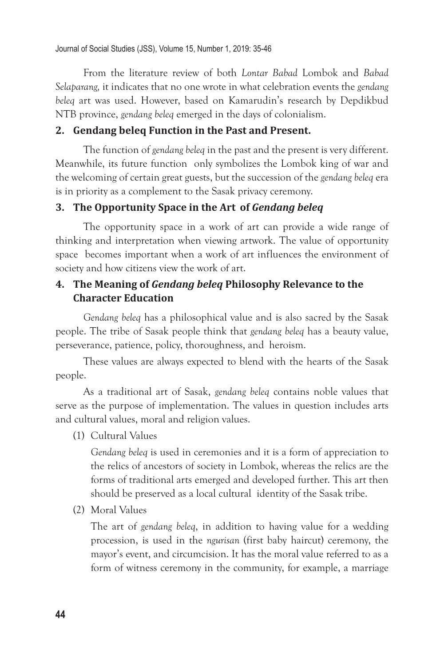From the literature review of both *Lontar Babad* Lombok and *Babad Selaparang,* it indicates that no one wrote in what celebration events the *gendang beleq* art was used. However, based on Kamarudin's research by Depdikbud NTB province, *gendang beleq* emerged in the days of colonialism.

## **2. Gendang beleq Function in the Past and Present.**

The function of *gendang beleq* in the past and the present is very different. Meanwhile, its future function only symbolizes the Lombok king of war and the welcoming of certain great guests, but the succession of the *gendang beleq* era is in priority as a complement to the Sasak privacy ceremony.

## **3. The Opportunity Space in the Art of** *Gendang beleq*

The opportunity space in a work of art can provide a wide range of thinking and interpretation when viewing artwork. The value of opportunity space becomes important when a work of art influences the environment of society and how citizens view the work of art.

## **4. The Meaning of** *Gendang beleq* **Philosophy Relevance to the Character Education**

*Gendang beleq* has a philosophical value and is also sacred by the Sasak people. The tribe of Sasak people think that *gendang beleq* has a beauty value, perseverance, patience, policy, thoroughness, and heroism.

These values are always expected to blend with the hearts of the Sasak people.

As a traditional art of Sasak, *gendang beleq* contains noble values that serve as the purpose of implementation. The values in question includes arts and cultural values, moral and religion values.

(1) Cultural Values

*Gendang beleq* is used in ceremonies and it is a form of appreciation to the relics of ancestors of society in Lombok, whereas the relics are the forms of traditional arts emerged and developed further. This art then should be preserved as a local cultural identity of the Sasak tribe.

(2) Moral Values

The art of *gendang beleq*, in addition to having value for a wedding procession, is used in the *ngurisan* (first baby haircut) ceremony, the mayor's event, and circumcision. It has the moral value referred to as a form of witness ceremony in the community, for example, a marriage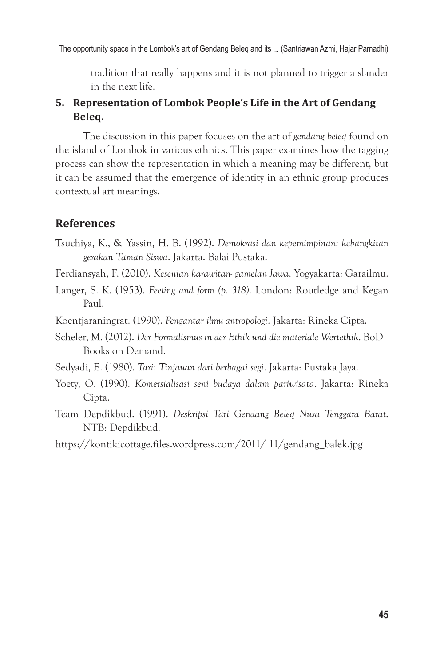tradition that really happens and it is not planned to trigger a slander in the next life.

## **5. Representation of Lombok People's Life in the Art of Gendang Beleq.**

The discussion in this paper focuses on the art of *gendang beleq* found on the island of Lombok in various ethnics. This paper examines how the tagging process can show the representation in which a meaning may be different, but it can be assumed that the emergence of identity in an ethnic group produces contextual art meanings.

## **References**

- Tsuchiya, K., & Yassin, H. B. (1992). *Demokrasi dan kepemimpinan: kebangkitan gerakan Taman Siswa*. Jakarta: Balai Pustaka.
- Ferdiansyah, F. (2010). *Kesenian karawitan- gamelan Jawa*. Yogyakarta: Garailmu.
- Langer, S. K. (1953). *Feeling and form (p. 318)*. London: Routledge and Kegan Paul.
- Koentjaraningrat. (1990). *Pengantar ilmu antropologi*. Jakarta: Rineka Cipta.
- Scheler, M. (2012). *Der Formalismus in der Ethik und die materiale Wertethik*. BoD– Books on Demand.
- Sedyadi, E. (1980). *Tari: Tinjauan dari berbagai segi*. Jakarta: Pustaka Jaya.
- Yoety, O. (1990). *Komersialisasi seni budaya dalam pariwisata*. Jakarta: Rineka Cipta.
- Team Depdikbud. (1991). *Deskripsi Tari Gendang Beleq Nusa Tenggara Barat*. NTB: Depdikbud.
- https://kontikicottage.files.wordpress.com/2011/ 11/gendang\_balek.jpg